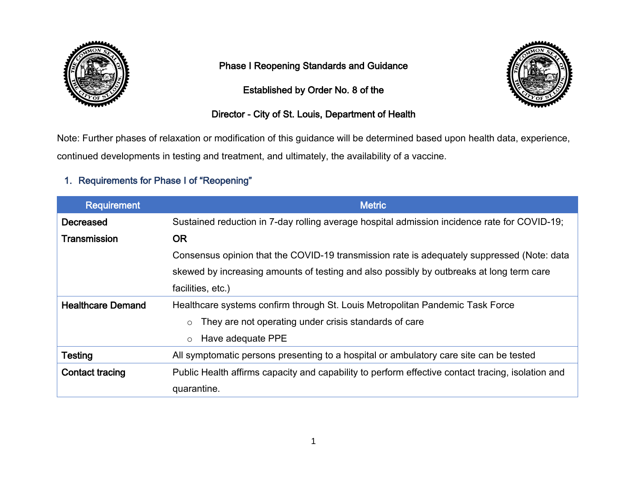

## Phase I Reopening Standards and Guidance

Established by Order No. 8 of the



## Director - City of St. Louis, Department of Health

Note: Further phases of relaxation or modification of this guidance will be determined based upon health data, experience, continued developments in testing and treatment, and ultimately, the availability of a vaccine.

# 1. Requirements for Phase I of "Reopening"

| <b>Requirement</b>       | <b>Metric</b>                                                                                     |
|--------------------------|---------------------------------------------------------------------------------------------------|
| <b>Decreased</b>         | Sustained reduction in 7-day rolling average hospital admission incidence rate for COVID-19;      |
| Transmission             | <b>OR</b>                                                                                         |
|                          | Consensus opinion that the COVID-19 transmission rate is adequately suppressed (Note: data        |
|                          | skewed by increasing amounts of testing and also possibly by outbreaks at long term care          |
|                          | facilities, etc.)                                                                                 |
| <b>Healthcare Demand</b> | Healthcare systems confirm through St. Louis Metropolitan Pandemic Task Force                     |
|                          | They are not operating under crisis standards of care                                             |
|                          | Have adequate PPE<br>$\circ$                                                                      |
| <b>Testing</b>           | All symptomatic persons presenting to a hospital or ambulatory care site can be tested            |
| <b>Contact tracing</b>   | Public Health affirms capacity and capability to perform effective contact tracing, isolation and |
|                          | quarantine.                                                                                       |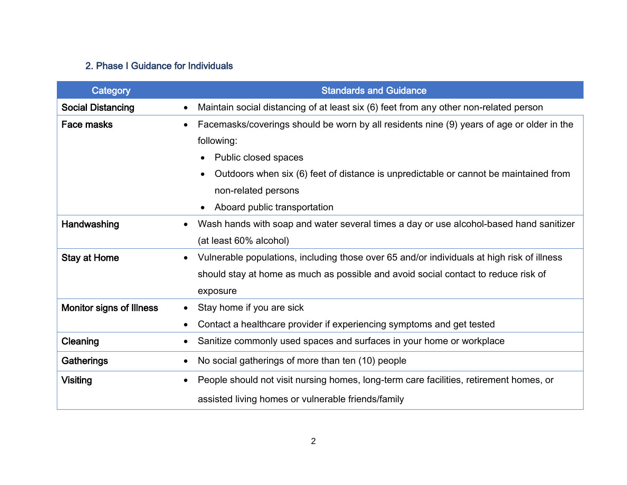## 2. Phase I Guidance for Individuals

| Category                        | <b>Standards and Guidance</b>                                                                           |
|---------------------------------|---------------------------------------------------------------------------------------------------------|
| <b>Social Distancing</b>        | Maintain social distancing of at least six (6) feet from any other non-related person<br>$\bullet$      |
| Face masks                      | Facemasks/coverings should be worn by all residents nine (9) years of age or older in the               |
|                                 | following:                                                                                              |
|                                 | Public closed spaces<br>$\bullet$                                                                       |
|                                 | Outdoors when six (6) feet of distance is unpredictable or cannot be maintained from                    |
|                                 | non-related persons                                                                                     |
|                                 | Aboard public transportation<br>$\bullet$                                                               |
| Handwashing                     | Wash hands with soap and water several times a day or use alcohol-based hand sanitizer<br>$\bullet$     |
|                                 | (at least 60% alcohol)                                                                                  |
| Stay at Home                    | Vulnerable populations, including those over 65 and/or individuals at high risk of illness<br>$\bullet$ |
|                                 | should stay at home as much as possible and avoid social contact to reduce risk of                      |
|                                 | exposure                                                                                                |
| <b>Monitor signs of Illness</b> | Stay home if you are sick<br>$\bullet$                                                                  |
|                                 | Contact a healthcare provider if experiencing symptoms and get tested                                   |
| Cleaning                        | Sanitize commonly used spaces and surfaces in your home or workplace                                    |
| Gatherings                      | No social gatherings of more than ten (10) people<br>$\bullet$                                          |
| <b>Visiting</b>                 | People should not visit nursing homes, long-term care facilities, retirement homes, or                  |
|                                 | assisted living homes or vulnerable friends/family                                                      |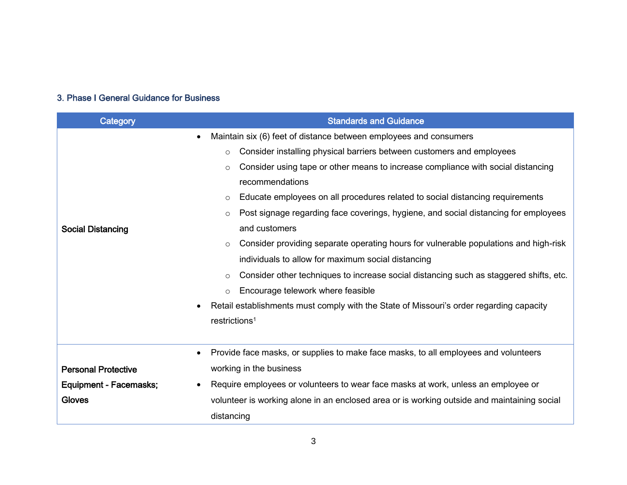#### 3. Phase I General Guidance for Business

| Category                   | <b>Standards and Guidance</b>                                                                        |
|----------------------------|------------------------------------------------------------------------------------------------------|
|                            | Maintain six (6) feet of distance between employees and consumers<br>$\bullet$                       |
|                            | Consider installing physical barriers between customers and employees<br>$\circ$                     |
|                            | Consider using tape or other means to increase compliance with social distancing<br>$\circ$          |
|                            | recommendations                                                                                      |
|                            | Educate employees on all procedures related to social distancing requirements<br>$\circ$             |
|                            | Post signage regarding face coverings, hygiene, and social distancing for employees<br>$\circ$       |
| <b>Social Distancing</b>   | and customers                                                                                        |
|                            | Consider providing separate operating hours for vulnerable populations and high-risk<br>$\circ$      |
|                            | individuals to allow for maximum social distancing                                                   |
|                            | Consider other techniques to increase social distancing such as staggered shifts, etc.<br>$\circ$    |
|                            | Encourage telework where feasible<br>$\circ$                                                         |
|                            | Retail establishments must comply with the State of Missouri's order regarding capacity<br>$\bullet$ |
|                            | restrictions <sup>1</sup>                                                                            |
|                            |                                                                                                      |
|                            | Provide face masks, or supplies to make face masks, to all employees and volunteers<br>$\bullet$     |
| <b>Personal Protective</b> | working in the business                                                                              |
| Equipment - Facemasks;     | Require employees or volunteers to wear face masks at work, unless an employee or<br>$\bullet$       |
| <b>Gloves</b>              | volunteer is working alone in an enclosed area or is working outside and maintaining social          |
|                            | distancing                                                                                           |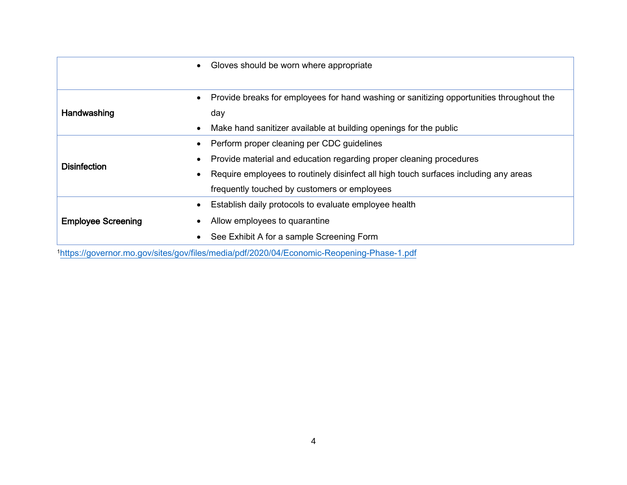|                                                                                           | Gloves should be worn where appropriate<br>$\bullet$                                                  |
|-------------------------------------------------------------------------------------------|-------------------------------------------------------------------------------------------------------|
|                                                                                           |                                                                                                       |
| Handwashing                                                                               | Provide breaks for employees for hand washing or sanitizing opportunities throughout the<br>$\bullet$ |
|                                                                                           | day                                                                                                   |
|                                                                                           | Make hand sanitizer available at building openings for the public<br>$\bullet$                        |
| <b>Disinfection</b>                                                                       | Perform proper cleaning per CDC guidelines<br>$\bullet$                                               |
|                                                                                           | Provide material and education regarding proper cleaning procedures                                   |
|                                                                                           | Require employees to routinely disinfect all high touch surfaces including any areas<br>$\bullet$     |
|                                                                                           | frequently touched by customers or employees                                                          |
| <b>Employee Screening</b>                                                                 | Establish daily protocols to evaluate employee health<br>$\bullet$                                    |
|                                                                                           | Allow employees to quarantine                                                                         |
|                                                                                           | See Exhibit A for a sample Screening Form                                                             |
| 1https://governor.mo.gov/sites/gov/files/media/pdf/2020/04/Economic-Reopening-Phase-1.pdf |                                                                                                       |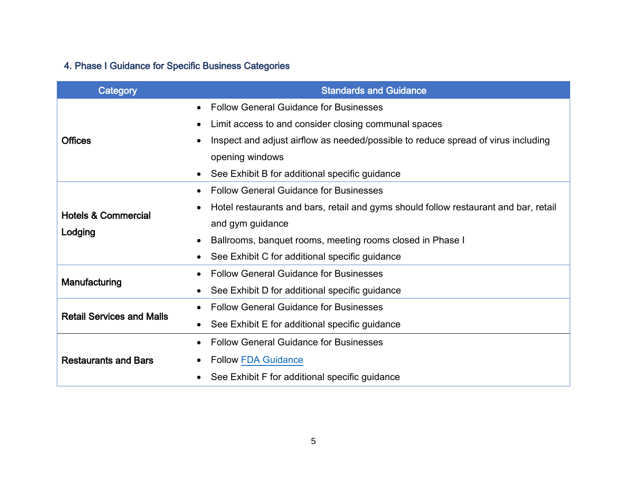# 4. Phase I Guidance for Specific Business Categories

| Category                         | <b>Standards and Guidance</b>                                                                     |
|----------------------------------|---------------------------------------------------------------------------------------------------|
|                                  | <b>Follow General Guidance for Businesses</b><br>$\bullet$                                        |
|                                  | Limit access to and consider closing communal spaces<br>$\bullet$                                 |
| <b>Offices</b>                   | Inspect and adjust airflow as needed/possible to reduce spread of virus including<br>$\bullet$    |
|                                  | opening windows                                                                                   |
|                                  | See Exhibit B for additional specific guidance<br>$\bullet$                                       |
|                                  | <b>Follow General Guidance for Businesses</b><br>$\bullet$                                        |
| <b>Hotels &amp; Commercial</b>   | Hotel restaurants and bars, retail and gyms should follow restaurant and bar, retail<br>$\bullet$ |
| Lodging                          | and gym guidance                                                                                  |
|                                  | Ballrooms, banquet rooms, meeting rooms closed in Phase I<br>$\bullet$                            |
|                                  | See Exhibit C for additional specific guidance                                                    |
| Manufacturing                    | <b>Follow General Guidance for Businesses</b><br>$\bullet$                                        |
|                                  | See Exhibit D for additional specific guidance<br>$\bullet$                                       |
| <b>Retail Services and Malls</b> | <b>Follow General Guidance for Businesses</b>                                                     |
|                                  | See Exhibit E for additional specific guidance<br>$\bullet$                                       |
|                                  | <b>Follow General Guidance for Businesses</b>                                                     |
| <b>Restaurants and Bars</b>      | <b>Follow FDA Guidance</b><br>$\bullet$                                                           |
|                                  | See Exhibit F for additional specific guidance                                                    |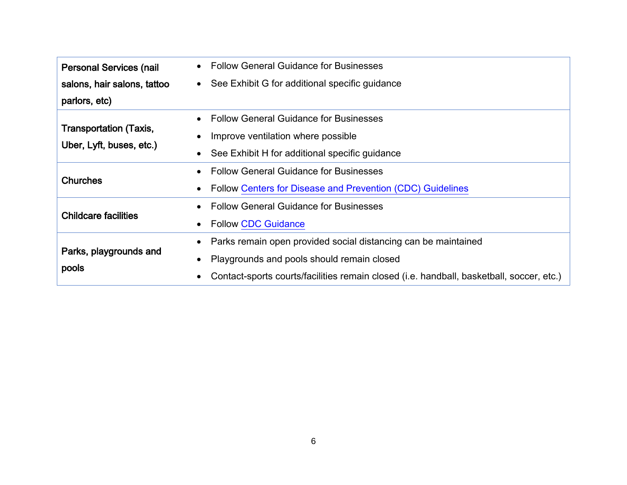| <b>Personal Services (nail</b>                            | <b>Follow General Guidance for Businesses</b>                                            |
|-----------------------------------------------------------|------------------------------------------------------------------------------------------|
| salons, hair salons, tattoo                               | See Exhibit G for additional specific guidance<br>$\bullet$                              |
| parlors, etc)                                             |                                                                                          |
|                                                           | <b>Follow General Guidance for Businesses</b>                                            |
| <b>Transportation (Taxis,</b><br>Uber, Lyft, buses, etc.) | Improve ventilation where possible                                                       |
|                                                           | See Exhibit H for additional specific guidance                                           |
|                                                           | <b>Follow General Guidance for Businesses</b><br>$\bullet$                               |
| <b>Churches</b>                                           | Follow Centers for Disease and Prevention (CDC) Guidelines                               |
|                                                           | <b>Follow General Guidance for Businesses</b>                                            |
| <b>Childcare facilities</b>                               | <b>Follow CDC Guidance</b><br>$\bullet$                                                  |
|                                                           | Parks remain open provided social distancing can be maintained<br>٠                      |
| Parks, playgrounds and                                    | Playgrounds and pools should remain closed<br>$\bullet$                                  |
| pools                                                     | Contact-sports courts/facilities remain closed (i.e. handball, basketball, soccer, etc.) |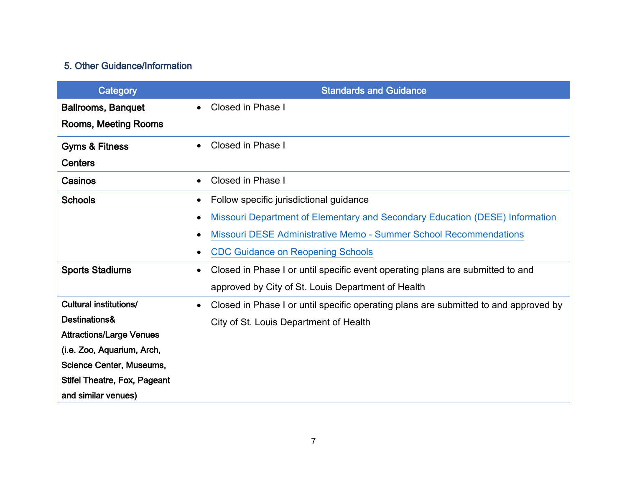## 5. Other Guidance/Information

| Category                            | <b>Standards and Guidance</b>                                                                     |
|-------------------------------------|---------------------------------------------------------------------------------------------------|
| <b>Ballrooms, Banquet</b>           | Closed in Phase I<br>$\bullet$                                                                    |
| <b>Rooms, Meeting Rooms</b>         |                                                                                                   |
| <b>Gyms &amp; Fitness</b>           | Closed in Phase I<br>$\bullet$                                                                    |
| <b>Centers</b>                      |                                                                                                   |
| Casinos                             | Closed in Phase I<br>$\bullet$                                                                    |
| <b>Schools</b>                      | Follow specific jurisdictional guidance<br>$\bullet$                                              |
|                                     | Missouri Department of Elementary and Secondary Education (DESE) Information<br>$\bullet$         |
|                                     | Missouri DESE Administrative Memo - Summer School Recommendations<br>$\bullet$                    |
|                                     | <b>CDC Guidance on Reopening Schools</b>                                                          |
| <b>Sports Stadiums</b>              | Closed in Phase I or until specific event operating plans are submitted to and<br>$\bullet$       |
|                                     | approved by City of St. Louis Department of Health                                                |
| <b>Cultural institutions/</b>       | Closed in Phase I or until specific operating plans are submitted to and approved by<br>$\bullet$ |
| Destinations&                       | City of St. Louis Department of Health                                                            |
| <b>Attractions/Large Venues</b>     |                                                                                                   |
| (i.e. Zoo, Aquarium, Arch,          |                                                                                                   |
| <b>Science Center, Museums,</b>     |                                                                                                   |
| <b>Stifel Theatre, Fox, Pageant</b> |                                                                                                   |
| and similar venues)                 |                                                                                                   |